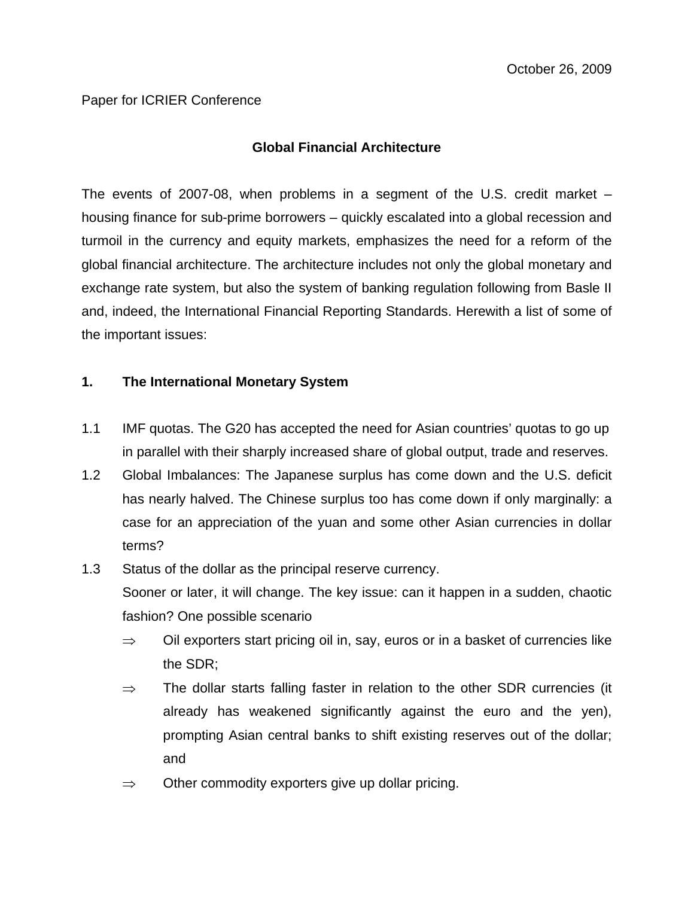## Paper for ICRIER Conference

# **Global Financial Architecture**

The events of 2007-08, when problems in a segment of the U.S. credit market – housing finance for sub-prime borrowers – quickly escalated into a global recession and turmoil in the currency and equity markets, emphasizes the need for a reform of the global financial architecture. The architecture includes not only the global monetary and exchange rate system, but also the system of banking regulation following from Basle II and, indeed, the International Financial Reporting Standards. Herewith a list of some of the important issues:

### **1. The International Monetary System**

- 1.1 IMF quotas. The G20 has accepted the need for Asian countries' quotas to go up in parallel with their sharply increased share of global output, trade and reserves.
- 1.2 Global Imbalances: The Japanese surplus has come down and the U.S. deficit has nearly halved. The Chinese surplus too has come down if only marginally: a case for an appreciation of the yuan and some other Asian currencies in dollar terms?
- 1.3 Status of the dollar as the principal reserve currency. Sooner or later, it will change. The key issue: can it happen in a sudden, chaotic fashion? One possible scenario
	- $\Rightarrow$  Oil exporters start pricing oil in, say, euros or in a basket of currencies like the SDR;
	- $\Rightarrow$  The dollar starts falling faster in relation to the other SDR currencies (it already has weakened significantly against the euro and the yen), prompting Asian central banks to shift existing reserves out of the dollar; and
	- $\Rightarrow$  Other commodity exporters give up dollar pricing.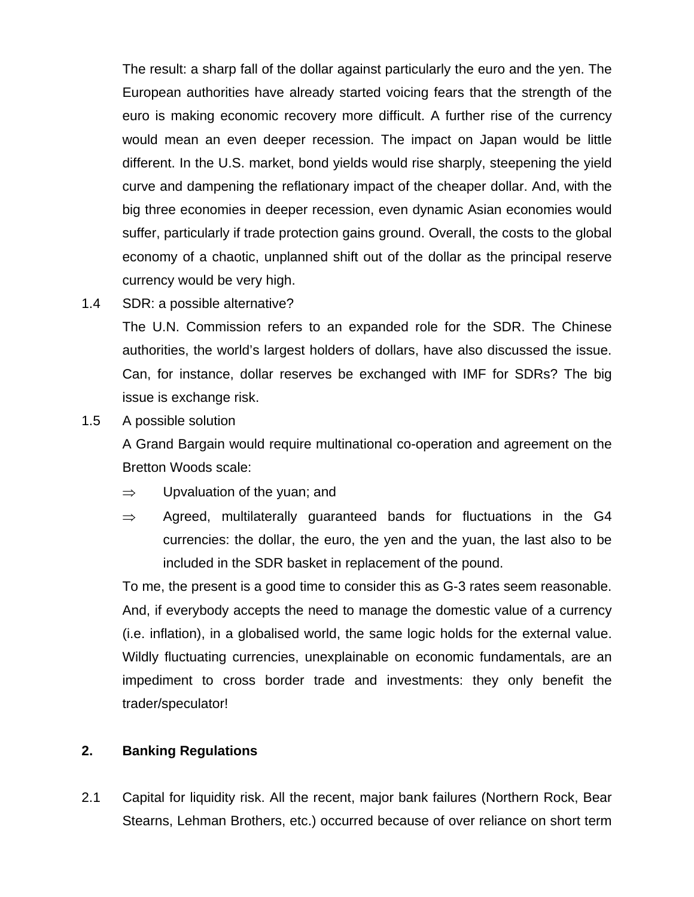The result: a sharp fall of the dollar against particularly the euro and the yen. The European authorities have already started voicing fears that the strength of the euro is making economic recovery more difficult. A further rise of the currency would mean an even deeper recession. The impact on Japan would be little different. In the U.S. market, bond yields would rise sharply, steepening the yield curve and dampening the reflationary impact of the cheaper dollar. And, with the big three economies in deeper recession, even dynamic Asian economies would suffer, particularly if trade protection gains ground. Overall, the costs to the global economy of a chaotic, unplanned shift out of the dollar as the principal reserve currency would be very high.

1.4 SDR: a possible alternative?

The U.N. Commission refers to an expanded role for the SDR. The Chinese authorities, the world's largest holders of dollars, have also discussed the issue. Can, for instance, dollar reserves be exchanged with IMF for SDRs? The big issue is exchange risk.

1.5 A possible solution

A Grand Bargain would require multinational co-operation and agreement on the Bretton Woods scale:

- $\Rightarrow$  Upvaluation of the yuan; and
- $\Rightarrow$  Agreed, multilaterally guaranteed bands for fluctuations in the G4 currencies: the dollar, the euro, the yen and the yuan, the last also to be included in the SDR basket in replacement of the pound.

To me, the present is a good time to consider this as G-3 rates seem reasonable. And, if everybody accepts the need to manage the domestic value of a currency (i.e. inflation), in a globalised world, the same logic holds for the external value. Wildly fluctuating currencies, unexplainable on economic fundamentals, are an impediment to cross border trade and investments: they only benefit the trader/speculator!

# **2. Banking Regulations**

2.1 Capital for liquidity risk. All the recent, major bank failures (Northern Rock, Bear Stearns, Lehman Brothers, etc.) occurred because of over reliance on short term